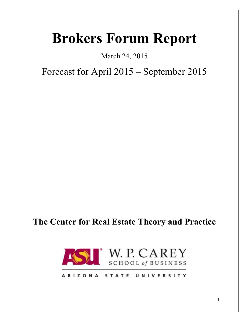# **Brokers Forum Report**

March 24, 2015

Forecast for April 2015 – September 2015

# **The Center for Real Estate Theory and Practice**



# ARIZONA STATE UNIVERSITY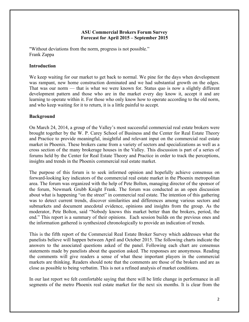#### **ASU Commercial Brokers Forum Survey Forecast for April 2015 – September 2015**

"Without deviations from the norm, progress is not possible." Frank Zappa

#### **Introduction**

We keep waiting for our market to get back to normal. We pine for the days when development was rampant, new home construction dominated and we had substantial growth on the edges. That was our norm — that is what we were known for. Status quo is now a slightly different development pattern and those who are in the market every day know it, accept it and are learning to operate within it. For those who only know how to operate according to the old norm, and who keep waiting for it to return, it is a little painful to accept.

#### **Background**

On March 24, 2014, a group of the Valley's most successful commercial real estate brokers were brought together by the W. P. Carey School of Business and the Center for Real Estate Theory and Practice to provide meaningful, insightful and relevant input on the commercial real estate market in Phoenix. These brokers came from a variety of sectors and specializations as well as a cross section of the many brokerage houses in the Valley. This discussion is part of a series of forums held by the Center for Real Estate Theory and Practice in order to track the perceptions, insights and trends in the Phoenix commercial real estate market.

The purpose of this forum is to seek informed opinion and hopefully achieve consensus on forward-looking key indicators of the commercial real estate market in the Phoenix metropolitan area. The forum was organized with the help of Pete Bolton, managing director of the sponsor of the forum, Newmark Grubb Knight Frank. The forum was conducted as an open discussion about what is happening "on the street" in commercial real estate. The intention of this gathering was to detect current trends, discover similarities and differences among various sectors and submarkets and document anecdotal evidence, opinions and insights from the group. As the moderator, Pete Bolton, said "Nobody knows this market better than the brokers, period, the end." This report is a summary of their opinions. Each session builds on the previous ones and the information gathered is synthesized chronologically to provide an indication of trends.

This is the fifth report of the Commercial Real Estate Broker Survey which addresses what the panelists believe will happen between April and October 2015. The following charts indicate the answers to the associated questions asked of the panel. Following each chart are consensus statements made by panelists about the question asked. The responses are anonymous. Reading the comments will give readers a sense of what these important players in the commercial markets are thinking. Readers should note that the comments are those of the brokers and are as close as possible to being verbatim. This is not a refined analysis of market conditions.

In our last report we felt comfortable saying that there will be little change in performance in all segments of the metro Phoenix real estate market for the next six months. It is clear from the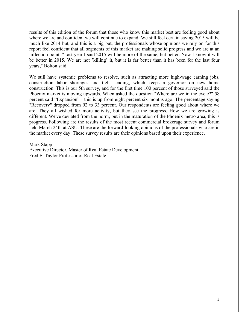results of this edition of the forum that those who know this market best are feeling good about where we are and confident we will continue to expand. We still feel certain saying 2015 will be much like 2014 but, and this is a big but, the professionals whose opinions we rely on for this report feel confident that all segments of this market are making solid progress and we are at an inflection point. "Last year I said 2015 will be more of the same, but better. Now I know it will be better in 2015. We are not 'killing' it, but it is far better than it has been for the last four years," Bolton said.

We still have systemic problems to resolve, such as attracting more high-wage earning jobs, construction labor shortages and tight lending, which keeps a governor on new home construction. This is our 5th survey, and for the first time 100 percent of those surveyed said the Phoenix market is moving upwards. When asked the question "Where are we in the cycle?" 58 percent said "Expansion" - this is up from eight percent six months ago. The percentage saying "Recovery" dropped from 92 to 33 percent. Our respondents are feeling good about where we are. They all wished for more activity, but they see the progress. How we are growing is different. We've deviated from the norm, but in the maturation of the Phoenix metro area, this is progress. Following are the results of the most recent commercial brokerage survey and forum held March 24th at ASU. These are the forward-looking opinions of the professionals who are in the market every day. These survey results are their opinions based upon their experience.

Mark Stapp

Executive Director, Master of Real Estate Development Fred E. Taylor Professor of Real Estate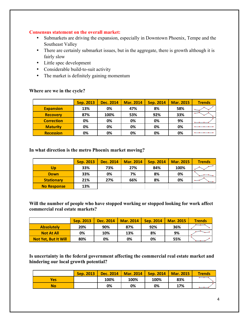#### **Consensus statement on the overall market:**

- Submarkets are driving the expansion, especially in Downtown Phoenix, Tempe and the Southeast Valley
- There are certainly submarket issues, but in the aggregate, there is growth although it is fairly slow
- Little spec development
- Considerable build-to-suit activity
- The market is definitely gaining momentum

#### **Where are we in the cycle?**

|                   | Sep. 2013 | Dec. 2014 | <b>Mar. 2014</b> | Sep. 2014 | <b>Mar. 2015</b> | <b>Trends</b> |
|-------------------|-----------|-----------|------------------|-----------|------------------|---------------|
| <b>Expansion</b>  | 13%       | 0%        | 47%              | 8%        | 58%              |               |
| <b>Recovery</b>   | 87%       | 100%      | 53%              | 92%       | 33%              |               |
| <b>Correction</b> | 0%        | 0%        | 0%               | 0%        | 9%               |               |
| <b>Maturity</b>   | 0%        | 0%        | 0%               | 0%        | 0%               |               |
| <b>Recession</b>  | 0%        | 0%        | 0%               | 0%        | 0%               |               |

**In what direction is the metro Phoenix market moving?**

|                    | Sep. 2013 | Dec. 2014 | <b>Mar. 2014</b> | Sep. 2014 | <b>Mar. 2015</b> | <b>Trends</b> |
|--------------------|-----------|-----------|------------------|-----------|------------------|---------------|
| Up                 | 33%       | 73%       | 27%              | 84%       | 100%             |               |
| <b>Down</b>        | 33%       | 0%        | 7%               | 8%        | 0%               |               |
| <b>Stationary</b>  | 21%       | 27%       | 66%              | 8%        | 0%               | $\sim$        |
| <b>No Response</b> | 13%       |           |                  |           |                  |               |

**Will the number of people who have stopped working or stopped looking for work affect commercial real estate markets?**

|                      | Sep. 2013 | Dec. 2014 | <b>Mar. 2014</b> | Sep. 2014 | <b>Mar. 2015</b> | <b>Trends</b> |
|----------------------|-----------|-----------|------------------|-----------|------------------|---------------|
| <b>Absolutely</b>    | 20%       | 90%       | 87%              | 92%       | 36%              |               |
| <b>Not At All</b>    | 0%        | 10%       | 13%              | 8%        | 9%               |               |
| Not Yet, But It Will | 80%       | 0%        | 0%               | 0%        | 55%              |               |

**Is uncertainty in the federal government affecting the commercial real estate market and hindering our local growth potential?**

|     | Sep. 2013 |      | Dec. 2014   Mar. 2014 | $\vert$ Sep. 2014 $\vert$ | Mar. 2015 | <b>Trends</b> |
|-----|-----------|------|-----------------------|---------------------------|-----------|---------------|
| Yes |           | 100% | 100%                  | 100%                      | 83%       |               |
| No  |           | 0%   | 0%                    | 0%                        | 17%       |               |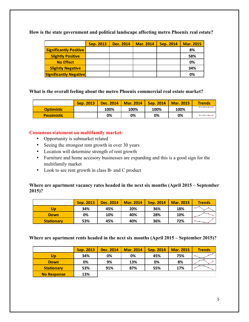**How is the state government and political landscape affecting metro Phoenix real estate?**

|                               | Sep. 2013 | Dec. 2014 | <b>Mar. 2014</b> | <b>Sep. 2014</b> | <b>Mar. 2015</b> |
|-------------------------------|-----------|-----------|------------------|------------------|------------------|
| <b>Significantly Positive</b> |           |           |                  |                  | 8%               |
| <b>Slightly Positive</b>      |           |           |                  |                  | 58%              |
| <b>No Effect</b>              |           |           |                  |                  | 0%               |
| <b>Slightly Negative</b>      |           |           |                  |                  | 34%              |
| <b>Significantly Negative</b> |           |           |                  |                  | 0%               |

**What is the overall feeling about the metro Phoenix commercial real estate market?**

|                    | Sep. 2013 | Dec. 2014 | <b>Mar. 2014</b> | Sep. 2014 | <b>Mar. 2015</b> | <b>Trends</b> |
|--------------------|-----------|-----------|------------------|-----------|------------------|---------------|
| <b>Optimistic</b>  |           | 100%      | 100%             | 100%      | 100%             |               |
| <b>Pessimistic</b> |           | 0%        | 0%               | 0%        | 0%               |               |

# **Consensus statement on multifamily market:**

- Opportunity is submarket related
- Seeing the strongest rent growth in over 30 years
- Location will determine strength of rent growth
- Furniture and home accesory businesses are expanding and this is a good sign for the multifamily market
- Look to see rent growth in class B- and C product

# **Where are apartment vacancy rates headed in the next six months (April 2015 – September 2015)?**

|                   | <b>Sep. 2013</b> | Dec. 2014 | <b>Mar. 2014</b> | Sep. 2014 | <b>Mar. 2015</b> | <b>Trends</b>                                                                               |
|-------------------|------------------|-----------|------------------|-----------|------------------|---------------------------------------------------------------------------------------------|
| Up                | 34%              | 45%       | 20%              | 36%       | 18%              |                                                                                             |
| <b>Down</b>       | 0%               | 10%       | 40%              | 28%       | 10%              |                                                                                             |
| <b>Stationary</b> | 53%              | 45%       | 40%              | 36%       | 72%              | $\begin{tabular}{c} \hline \quad \quad & \quad \quad & \quad \quad \\ \hline \end{tabular}$ |

**Where are apartment rents headed in the next six months (April 2015 – September 2015)?**

|                    | Sep. 2013 | Dec. 2014 | <b>Mar. 2014</b> | <b>Sep. 2014</b> | <b>Mar. 2015</b> | <b>Trends</b> |
|--------------------|-----------|-----------|------------------|------------------|------------------|---------------|
| Up                 | 34%       | 0%        | 0%               | 45%              | 75%              |               |
| <b>Down</b>        | 0%        | 9%        | 13%              | 0%               | 8%               |               |
| <b>Stationary</b>  | 53%       | 91%       | 87%              | 55%              | 17%              |               |
| <b>No Response</b> | 13%       |           |                  |                  |                  |               |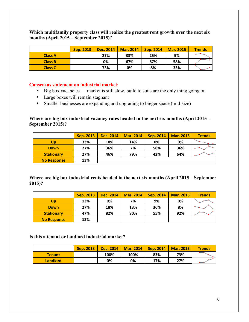**Which multifamily property class will realize the greatest rent growth over the next six months (April 2015 – September 2015)?**

|                | Sep. 2013 | Dec. 2014 | <b>Mar. 2014</b> | Sep. 2014 | <b>Mar. 2015</b> | <b>Trends</b> |
|----------------|-----------|-----------|------------------|-----------|------------------|---------------|
| <b>Class A</b> |           | 27%       | 33%              | 25%       | 9%               |               |
| <b>Class B</b> |           | 0%        | 67%              | 67%       | 58%              |               |
| <b>Class C</b> |           | 73%       | 0%               | 8%        | 33%              |               |

#### **Consensus statement on industrial market:**

- Big box vacancies market is still slow, build to suits are the only thing going on
- Large boxes will remain stagnant
- Smaller businesses are expanding and upgrading to bigger space (mid-size)

**Where are big box industrial vacancy rates headed in the next six months (April 2015 – September 2015)?**

|                    | Sep. 2013 | Dec. 2014 | <b>Mar. 2014</b> | Sep. 2014 | <b>Mar. 2015</b> | <b>Trends</b> |
|--------------------|-----------|-----------|------------------|-----------|------------------|---------------|
| Up                 | 33%       | 18%       | 14%              | 0%        | 0%               |               |
| <b>Down</b>        | 27%       | 36%       | 7%               | 58%       | 36%              |               |
| <b>Stationary</b>  | 27%       | 46%       | 79%              | 42%       | 64%              |               |
| <b>No Response</b> | 13%       |           |                  |           |                  |               |

**Where are big box industrial rents headed in the next six months (April 2015 – September 2015)?**

|                    | Sep. 2013 | Dec. 2014 | <b>Mar. 2014</b> | Sep. 2014 | <b>Mar. 2015</b> | <b>Trends</b> |
|--------------------|-----------|-----------|------------------|-----------|------------------|---------------|
| Up                 | 13%       | 0%        | 7%               | 9%        | 0%               |               |
| <b>Down</b>        | 27%       | 18%       | 13%              | 36%       | 8%               |               |
| <b>Stationary</b>  | 47%       | 82%       | 80%              | 55%       | 92%              |               |
| <b>No Response</b> | 13%       |           |                  |           |                  |               |

#### **Is this a tenant or landlord industrial market?**

|                 | Sep. 2013 |      | Dec. 2014   Mar. 2014 | <b>Sep. 2014   Mar. 2015</b> |     | <b>Trends</b> |
|-----------------|-----------|------|-----------------------|------------------------------|-----|---------------|
| <b>Tenant</b>   |           | 100% | 100%                  | 83%                          | 73% |               |
| <b>Landlord</b> |           | 0%   | 0%                    | 17%                          | 27% |               |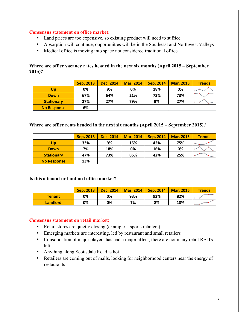#### **Consensus statement on office market:**

- Land prices are too expensive, so existing product will need to suffice
- Absorption will continue, opportunities will be in the Southeast and Northwest Valleys
- Medical office is moving into space not considered traditional office

**Where are office vacancy rates headed in the next six months (April 2015 – September 2015)?**

|                    | <b>Sep. 2013</b> | Dec. 2014 | <b>Mar. 2014</b> | Sep. 2014 | <b>Mar. 2015</b> | <b>Trends</b> |
|--------------------|------------------|-----------|------------------|-----------|------------------|---------------|
| Up                 | 0%               | 9%        | 0%               | 18%       | 0%               |               |
| <b>Down</b>        | 67%              | 64%       | 21%              | 73%       | 73%              |               |
| <b>Stationary</b>  | 27%              | 27%       | 79%              | 9%        | 27%              |               |
| <b>No Response</b> | 6%               |           |                  |           |                  |               |

# **Where are office rents headed in the next six months (April 2015 – September 2015)?**

|                    | Sep. 2013 | <b>Dec. 2014</b> | <b>Mar. 2014</b> | <b>Sep. 2014</b> | <b>Mar. 2015</b> | <b>Trends</b> |
|--------------------|-----------|------------------|------------------|------------------|------------------|---------------|
| Up                 | 33%       | 9%               | 15%              | 42%              | 75%              |               |
| <b>Down</b>        | 7%        | 18%              | 0%               | 16%              | 0%               |               |
| <b>Stationary</b>  | 47%       | 73%              | 85%              | 42%              | 25%              |               |
| <b>No Response</b> | 13%       |                  |                  |                  |                  |               |

#### **Is this a tenant or landlord office market?**

|                 | Sep. 2013 | Dec. 2014 | <b>Mar. 2014</b> | Sep. 2014 | <b>Mar. 2015</b> | <b>Trends</b> |
|-----------------|-----------|-----------|------------------|-----------|------------------|---------------|
| <b>Tenant</b>   | 0%        | 0%        | 93%              | 92%       | 82%              |               |
| <b>Landlord</b> | 0%        | 0%        | 7%               | 8%        | 18%              |               |

#### **Consensus statement on retail market:**

- Retail stores are quietly closing (example = sports retailers)
- Emerging markets are interesting, led by restaurant and small retailers
- Consolidation of major players has had a major affect, there are not many retail REITs left
- Anything along Scottsdale Road is hot
- Retailers are coming out of malls, looking for neighborhood centers near the energy of restaurants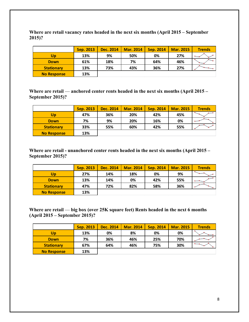**Where are retail vacancy rates headed in the next six months (April 2015 – September 2015)?**

|                    | Sep. 2013 | Dec. 2014 | <b>Mar. 2014</b> | Sep. 2014 | <b>Mar. 2015</b> | <b>Trends</b> |
|--------------------|-----------|-----------|------------------|-----------|------------------|---------------|
| Up                 | 13%       | 9%        | 50%              | 0%        | 27%              |               |
| <b>Down</b>        | 61%       | 18%       | 7%               | 64%       | 46%              |               |
| <b>Stationary</b>  | 13%       | 73%       | 43%              | 36%       | 27%              |               |
| <b>No Response</b> | 13%       |           |                  |           |                  |               |

**Where are retail — anchored center rents headed in the next six months (April 2015 – September 2015)?**

|                    | Sep. 2013 | Dec. 2014 | <b>Mar. 2014</b> | <b>Sep. 2014</b> | <b>Mar. 2015</b> | <b>Trends</b> |
|--------------------|-----------|-----------|------------------|------------------|------------------|---------------|
| Up                 | 47%       | 36%       | 20%              | 42%              | 45%              |               |
| <b>Down</b>        | 7%        | 9%        | 20%              | 16%              | 0%               |               |
| <b>Stationary</b>  | 33%       | 55%       | 60%              | 42%              | 55%              |               |
| <b>No Response</b> | 13%       |           |                  |                  |                  |               |

**Where are retail - unanchored center rents headed in the next six months (April 2015 – September 2015)?**

|                    | Sep. 2013 | Dec. 2014 | <b>Mar. 2014</b> | Sep. 2014 | <b>Mar. 2015</b> | <b>Trends</b> |
|--------------------|-----------|-----------|------------------|-----------|------------------|---------------|
| Up                 | 27%       | 14%       | 18%              | 0%        | 9%               |               |
| <b>Down</b>        | 13%       | 14%       | 0%               | 42%       | 55%              |               |
| <b>Stationary</b>  | 47%       | 72%       | 82%              | 58%       | 36%              |               |
| <b>No Response</b> | 13%       |           |                  |           |                  |               |

**Where are retail — big box (over 25K square feet) Rents headed in the next 6 months (April 2015 – September 2015)?**

|                    | Sep. 2013 | Dec. 2014 | <b>Mar. 2014</b> | <b>Sep. 2014</b> | <b>Mar. 2015</b> | <b>Trends</b> |
|--------------------|-----------|-----------|------------------|------------------|------------------|---------------|
| Up                 | 13%       | 0%        | 8%               | 0%               | 0%               |               |
| <b>Down</b>        | 7%        | 36%       | 46%              | 25%              | 70%              |               |
| <b>Stationary</b>  | 67%       | 64%       | 46%              | 75%              | 30%              |               |
| <b>No Response</b> | 13%       |           |                  |                  |                  |               |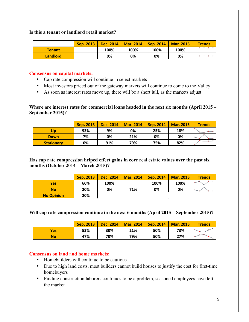#### **Is this a tenant or landlord retail market?**

|                 | Sep. 2013 | Dec. 2014 | <b>Mar. 2014</b> | <b>Sep. 2014   Mar. 2015</b> |      | <b>Trends</b> |
|-----------------|-----------|-----------|------------------|------------------------------|------|---------------|
| <b>Tenant</b>   |           | 100%      | 100%             | 100%                         | 100% |               |
| <b>Landlord</b> |           | 0%        | 0%               | 0%                           | 0%   |               |

#### **Consensus on capital markets:**

- Cap rate compression will continue in select markets
- Most investors priced out of the gateway markets will continue to come to the Valley
- As soon as interest rates move up, there will be a short lull, as the markets adjust

**Where are interest rates for commercial loans headed in the next six months (April 2015 – September 2015)?**

|                   | <b>Sep. 2013</b> | Dec. 2014 | <b>Mar. 2014</b> | Sep. 2014 | <b>Mar. 2015</b> | <b>Trends</b> |
|-------------------|------------------|-----------|------------------|-----------|------------------|---------------|
| Up                | 93%              | 9%        | 0%               | 25%       | 18%              |               |
| <b>Down</b>       | 7%               | 0%        | 21%              | 0%        | 0%               |               |
| <b>Stationary</b> | 0%               | 91%       | 79%              | 75%       | 82%              |               |

**Has cap rate compression helped effect gains in core real estate values over the past six months (October 2014 – March 2015)?**

|                   | Sep. 2013 | Dec. 2014 | <b>Mar. 2014</b> | Sep. 2014 | <b>Mar. 2015</b> | <b>Trends</b> |
|-------------------|-----------|-----------|------------------|-----------|------------------|---------------|
| <b>Yes</b>        | 60%       | 100%      |                  | 100%      | 100%             |               |
| <b>No</b>         | 20%       | 0%        | 71%              | 0%        | 0%               |               |
| <b>No Opinion</b> | 20%       |           |                  |           |                  |               |

**Will cap rate compression continue in the next 6 months (April 2015 – September 2015)?**

|     | Sep. 2013 | <b>Dec. 2014</b> | <b>Mar. 2014</b> | Sep. 2014 | <b>Mar. 2015</b> | <b>Trends</b> |
|-----|-----------|------------------|------------------|-----------|------------------|---------------|
| Yes | 53%       | 30%              | 21%              | 50%       | 73%              |               |
| No  | 47%       | 70%              | 79%              | 50%       | 27%              |               |

#### **Consensus on land and home markets:**

- Homebuilders will continue to be cautious
- Due to high land costs, most builders cannot build houses to justify the cost for first-time homebuyers
- Finding construction laborers continues to be a problem, seasoned employees have left the market